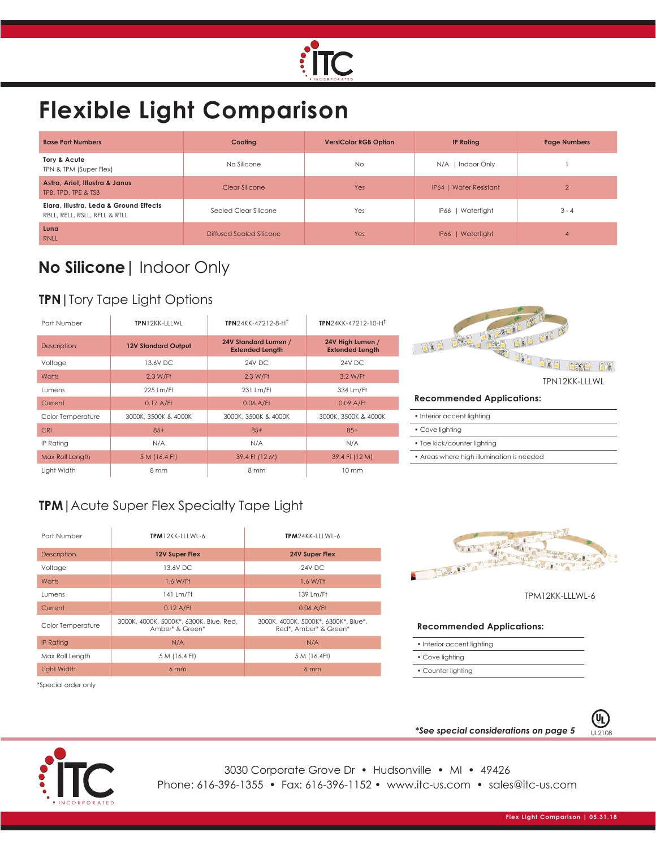

# **Flexible Light Comparison**

| <b>Base Part Numbers</b>                                                | Coating                  | <b>VersiColor RGB Option</b> | <b>IP Rating</b>       | <b>Page Numbers</b> |
|-------------------------------------------------------------------------|--------------------------|------------------------------|------------------------|---------------------|
| Tory & Acute<br>TPN & TPM (Super Flex)                                  | No Silicone              | <b>No</b>                    | Indoor Only<br>$N/A$   |                     |
| Astra, Ariel, Illustra & Janus<br>TPB, TPD, TPE & TSB                   | Clear Silicone           | Yes                          | IP64   Water Resistant | $\overline{2}$      |
| Elara, Illustra, Leda & Ground Effects<br>RBLL, RELL, RSLL, RFLL & RTLL | Sealed Clear Silicone    | Yes                          | IP66   Watertight      | $3 - 4$             |
| Luna<br><b>RNLL</b>                                                     | Diffused Sealed Silicone | Yes                          | IP66   Watertight      | $\overline{4}$      |

# **No Silicone|** Indoor Only

## **TPN|**Tory Tape Light Options

| Part Number        | TPN12KK-ITIWI              | TPN24KK-47212-8-H <sup>t</sup>                 | TPN24KK-47212-10-H <sup>t</sup>            |
|--------------------|----------------------------|------------------------------------------------|--------------------------------------------|
| <b>Description</b> | <b>12V Standard Output</b> | 24V Standard Lumen /<br><b>Extended Length</b> | 24V High Lumen /<br><b>Extended Length</b> |
| Voltage            | 13.6V DC                   | 24V DC                                         | 24V DC                                     |
| Watts              | 2.3 W/Ff                   | 2.3 W/Ft                                       | 3.2 W/Ff                                   |
| Lumens             | 225 Lm/Ft                  | 231 Lm/Ff                                      | 334 Lm/Ft                                  |
| Current            | $0.17$ A/Ff                | $0.06$ A/Ff                                    | $0.09$ A/Ff                                |
| Color Temperature  | 3000K, 3500K & 4000K       | 3000K, 3500K & 4000K                           | 3000K, 3500K & 4000K                       |
| <b>CRI</b>         | $85+$                      | $85+$                                          | $85+$                                      |
| IP Rating          | N/A                        | N/A                                            | N/A                                        |
| Max Roll Length    | 5 M (16.4 Ft)              | 39.4 Ft (12 M)                                 | 39.4 Ft (12 M)                             |
| Liaht Width        | 8 mm                       | 8 mm                                           | $10 \text{ mm}$                            |

| ÷.                               |
|----------------------------------|
|                                  |
| TPN12KK-LLLWL                    |
| <b>Recommended Applications:</b> |

| • Interior accent lighting                |
|-------------------------------------------|
| • Cove lighting                           |
| • Toe kick/counter lighting               |
| • Areas where high illumination is needed |

## **TPM|**Acute Super Flex Specialty Tape Light

| Part Number        | $TPM12KK-IIIWI-6$                                          | $TPM24KK-111W1-6$                                             |  |
|--------------------|------------------------------------------------------------|---------------------------------------------------------------|--|
| <b>Description</b> | <b>12V Super Flex</b>                                      | 24V Super Flex                                                |  |
| Voltage            | 13.6V DC                                                   | 24V DC                                                        |  |
| Watts              | 1.6 W/Ff                                                   | 1.6 W/Ff                                                      |  |
| <b>Lumens</b>      | 141 Lm/Ft                                                  | 139 Lm/Ff                                                     |  |
| Current            | $0.12$ A/Ff                                                | $0.06$ A/Ff                                                   |  |
| Color Temperature  | 3000K, 4000K, 5000K*, 6300K, Blue, Red,<br>Amber* & Green* | 3000K, 4000K, 5000K*, 6300K*, Blue*,<br>Red*, Amber* & Green* |  |
| <b>IP Rating</b>   | N/A                                                        | N/A                                                           |  |
| Max Roll Length    | 5 M (16.4 Ft)                                              | 5 M (16.4Ft)                                                  |  |
| Light Width        | 6mm                                                        | 6mm                                                           |  |



TPM12KK-LLLWL-6

#### **Recommended Applications:**

- Interior accent lighting
- Cove lighting
- Counter lighting

\*Special order only



**\*See special considerations on page 5** UL2108

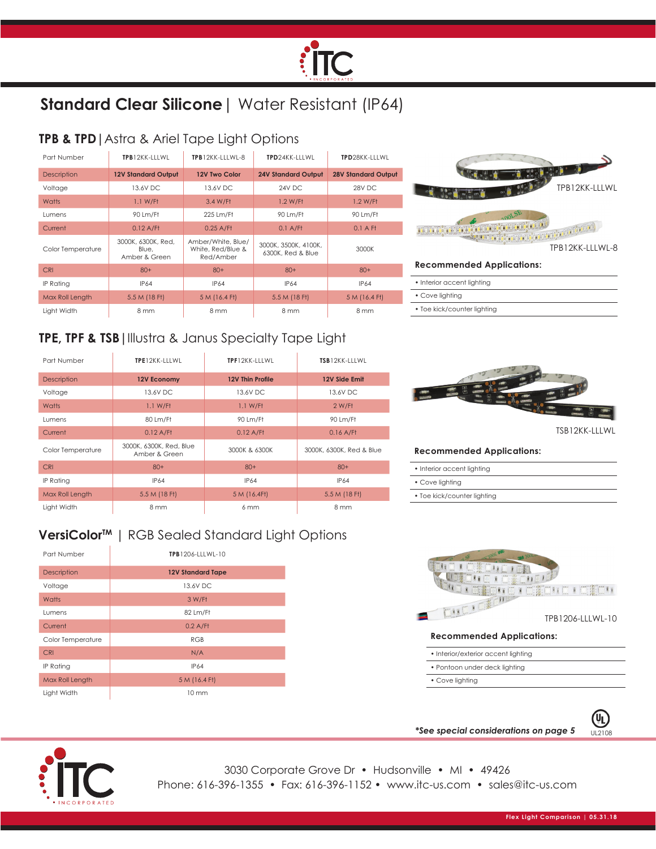# **:TC**

# **Standard Clear Silicone**| Water Resistant (IP64)

## **TPB & TPD|**Astra & Ariel Tape Light Options

| Part Number        | TPB12KK-IIIWI                                | <b>TPB12KK-IIIWI-8</b>                               | TPD24KK-ITIWI                             | TPD28KK-ITTWL              |
|--------------------|----------------------------------------------|------------------------------------------------------|-------------------------------------------|----------------------------|
| <b>Description</b> | <b>12V Standard Output</b>                   | 12V Two Color                                        | <b>24V Standard Output</b>                | <b>28V Standard Output</b> |
| Voltage            | 13.6V DC                                     | 13.6V DC                                             | 24V DC                                    | 28V DC                     |
| Watts              | $1.1$ W/Ff                                   | 3.4 W/Ff                                             | $1.2$ W/Ft                                | $1.2$ W/Ff                 |
| Lumens             | 90 Lm/Ft                                     | 225 Lm/Ff                                            | 90 Lm/Ft                                  | 90 Lm/Ft                   |
| Current            | $0.12$ A/Ff                                  | $0.25$ A/Ff                                          | $0.1$ A/Ff                                | $0.1$ A Ft                 |
| Color Temperature  | 3000K, 6300K, Red,<br>Blue.<br>Amber & Green | Amber/White, Blue/<br>White, Red/Blue &<br>Red/Amber | 3000K, 3500K, 4100K,<br>6300K, Red & Blue | 3000K                      |
| <b>CRI</b>         | $80+$                                        | $80+$                                                | $80+$                                     | $80+$                      |
| IP Rating          | <b>IP64</b>                                  | <b>IP64</b>                                          | <b>IP64</b>                               | <b>IP64</b>                |
| Max Roll Length    | 5.5 M (18 Ft)                                | 5 M (16.4 Ft)                                        | 5.5 M (18 Ft)                             | 5 M (16.4 Ft)              |
| Liaht Width        | 8 mm                                         | 8 mm                                                 | 8 mm                                      | 8 mm                       |



## **TPE, TPF & TSB|**Illustra & Janus Specialty Tape Light

| Part Number        | TPE12KK-LLLWL                            | TPF12KK-LLLWL    | TSB12KK-LLLWL            |
|--------------------|------------------------------------------|------------------|--------------------------|
| <b>Description</b> | 12V Economy                              | 12V Thin Profile | 12V Side Emit            |
| Voltage            | 13.6V DC                                 | 13.6V DC         | 13.6V DC                 |
| Watts              | 1.1 W/Ft                                 | 1.1 W/Ft         | 2 W/Ft                   |
| Lumens             | 80 Lm/Ft                                 | 90 Lm/Ft         | 90 Lm/Ft                 |
| Current            | $0.12$ A/Ff                              | $0.12$ A/Ff      | $0.16$ A/Ff              |
| Color Temperature  | 3000K, 6300K, Red, Blue<br>Amber & Green | 3000K & 6300K    | 3000K, 6300K, Red & Blue |
| <b>CRI</b>         | $80+$                                    | $80+$            | $80+$                    |
| IP Rating          | <b>IP64</b>                              | <b>IP64</b>      | <b>IP64</b>              |
| Max Roll Length    | 5.5 M (18 Ft)                            | 5 M (16.4Ft)     | 5.5 M (18 Ft)            |
| Light Width        | 8 mm                                     | 6 mm             | 8 mm                     |

## VersiColor<sup>™</sup> | RGB Sealed Standard Light Options

| Part Number       | TPB1206-LLLWL-10         |  |
|-------------------|--------------------------|--|
| Description       | <b>12V Standard Tape</b> |  |
| Voltage           | 13.6V DC                 |  |
| Watts             | 3 W/Ft                   |  |
| Lumens            | 82 Lm/Ft                 |  |
| Current           | $0.2$ A/Ff               |  |
| Color Temperature | <b>RGB</b>               |  |
| <b>CRI</b>        | N/A                      |  |
| IP Rating         | <b>IP64</b>              |  |
| Max Roll Length   | 5 M (16.4 Ft)            |  |
| Light Width       | $10 \text{ mm}$          |  |



#### **Recommended Applications:**

• Toe kick/counter lighting

| • Interior accent lighting  |  |
|-----------------------------|--|
| • Cove lighting             |  |
| • Toe kick/counter lighting |  |



• Cove lighting

**\*See special considerations on page 5** UL2108



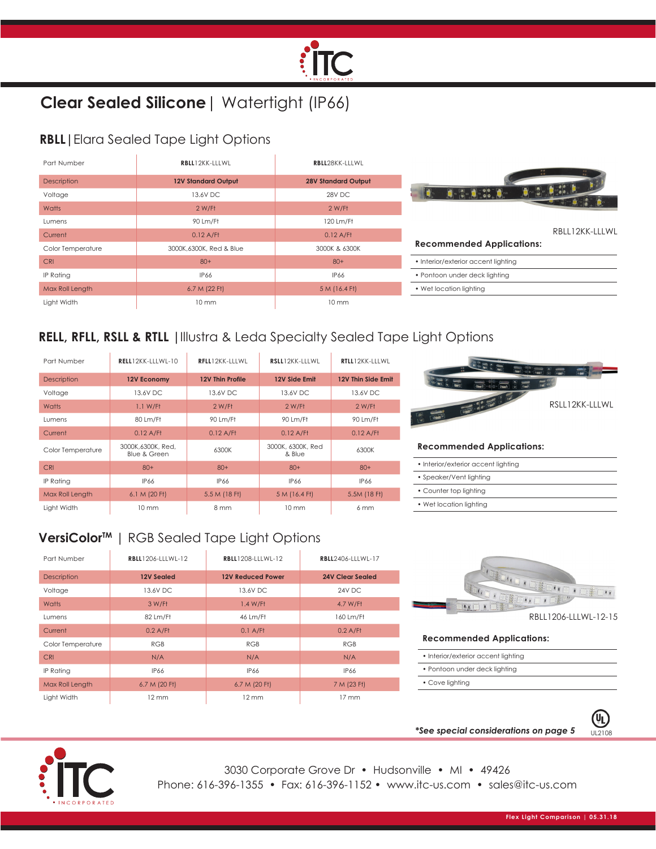

# **Clear Sealed Silicone**| Watertight (IP66)

#### **RBLL|**Elara Sealed Tape Light Options

| Part Number        | RBLL12KK-LLLWL             | RBLL28KK-LLLWL             |                                                                                                                                                                                                                                                                                                                                                     |
|--------------------|----------------------------|----------------------------|-----------------------------------------------------------------------------------------------------------------------------------------------------------------------------------------------------------------------------------------------------------------------------------------------------------------------------------------------------|
| <b>Description</b> | <b>12V Standard Output</b> | <b>28V Standard Output</b> |                                                                                                                                                                                                                                                                                                                                                     |
| Voltage            | 13.6V DC                   | 28V DC                     | $\begin{picture}(18,10) \put(0,0){\line(1,0){10}} \put(10,0){\line(1,0){10}} \put(10,0){\line(1,0){10}} \put(10,0){\line(1,0){10}} \put(10,0){\line(1,0){10}} \put(10,0){\line(1,0){10}} \put(10,0){\line(1,0){10}} \put(10,0){\line(1,0){10}} \put(10,0){\line(1,0){10}} \put(10,0){\line(1,0){10}} \put(10,0){\line(1,0){10}} \put(10,0){\line(1$ |
| Watts              | 2 W/Ft                     | $2$ W/Ft                   |                                                                                                                                                                                                                                                                                                                                                     |
| Lumens             | 90 Lm/Ft                   | 120 Lm/Ff                  |                                                                                                                                                                                                                                                                                                                                                     |
| Current            | $0.12$ A/Ff                | $0.12$ A/Ff                | RBLL12KK-LLLWL                                                                                                                                                                                                                                                                                                                                      |
| Color Temperature  | 3000K,6300K, Red & Blue    | 3000K & 6300K              | <b>Recommended Applications:</b>                                                                                                                                                                                                                                                                                                                    |
| <b>CRI</b>         | $80+$                      | $80+$                      | • Interior/exterior accent lighting                                                                                                                                                                                                                                                                                                                 |
| IP Rating          | IP66                       | IP66                       | • Pontoon under deck lighting                                                                                                                                                                                                                                                                                                                       |
| Max Roll Length    | 6.7 M (22 Ft)              | 5 M (16.4 Ft)              | • Wet location lighting                                                                                                                                                                                                                                                                                                                             |
| Light Width        | $10 \text{ mm}$            | $10 \text{ mm}$            |                                                                                                                                                                                                                                                                                                                                                     |

#### **RELL, RFLL, RSLL & RTLL |**Illustra & Leda Specialty Sealed Tape Light Options

| Part Number        | $RELL12KK-111WI-10$                          | RFLL12KK-IIIWI   | RSLL12KK-IIIWI              | RTLL12KK-IIIWI     |
|--------------------|----------------------------------------------|------------------|-----------------------------|--------------------|
| <b>Description</b> | 12V Economy                                  | 12V Thin Profile | 12V Side Emit               | 12V Thin Side Emit |
| Voltage            | 13.6V DC                                     | 13.6V DC         | 13.6V DC                    | 13.6V DC           |
| Watts              | 1.1 W/ft                                     | 2 W/Ft           | 2 W/Ft                      | 2 W/Ft             |
| <b>Lumens</b>      | 80 Lm/Ft                                     | 90 Lm/Ft         | 90 Lm/Ft                    | 90 Lm/Ft           |
| Current            | $0.12$ A/Ff                                  | $0.12$ A/Ff      | $0.12$ A/Ft                 | $0.12$ A/Ff        |
| Color Temperature  | 3000K,6300K, Red,<br><b>Blue &amp; Green</b> | 6300K            | 3000K, 6300K, Red<br>& Blue | 6300K              |
| <b>CRI</b>         | $80+$                                        | $80+$            | $80+$                       | $80+$              |
| <b>IP Rating</b>   | <b>IP66</b>                                  | <b>IP66</b>      | IP66                        | <b>IP66</b>        |
| Max Roll Length    | 6.1 M (20 Ft)                                | 5.5 M (18 Ft)    | 5 M (16.4 Ft)               | 5.5M (18 Ft)       |
| Light Width        | $10 \text{ mm}$                              | 8 mm             | $10 \text{ mm}$             | 6mm                |



#### **Recommended Applications:**

|  | • Interior/exterior accent lighting |  |
|--|-------------------------------------|--|
|  |                                     |  |

- Speaker/Vent lighting
- Counter top lighting
- 
- Wet location lighting

### VersiColor<sup>™</sup> | RGB Sealed Tape Light Options

| Part Number        | <b>RBLL1206-LLLWL-12</b> | <b>RBLL1208-LLLWL-12</b> | <b>RBLL2406-LLLWL-17</b> |
|--------------------|--------------------------|--------------------------|--------------------------|
| <b>Description</b> | 12V Sealed               | <b>12V Reduced Power</b> | 24V Clear Sealed         |
| Voltage            | 13.6V DC                 | 13.6V DC                 | 24V DC                   |
| Watts              | 3 W/Ft                   | 1.4 W/Ft                 | 4.7 W/Ft                 |
| Lumens             | 82 Lm/Ft                 | 46 Lm/Ft                 | 160 Lm/Ft                |
| Current            | $0.2$ A/Ft               | $0.1$ A/Ff               | $0.2$ A/Ff               |
| Color Temperature  | <b>RGB</b>               | <b>RGB</b>               | <b>RGB</b>               |
| <b>CRI</b>         | N/A                      | N/A                      | N/A                      |
| <b>IP Rating</b>   | <b>IP66</b>              | <b>IP66</b>              | IP66                     |
| Max Roll Length    | 6.7 M (20 Ft)            | 6.7 M (20 Ft)            | 7 M (23 Ft)              |
| Light Width        | $12 \text{ mm}$          | $12 \text{ mm}$          | $17 \text{ mm}$          |



- Interior/exterior accent lighting
- Pontoon under deck lighting
- Cove lighting
	-



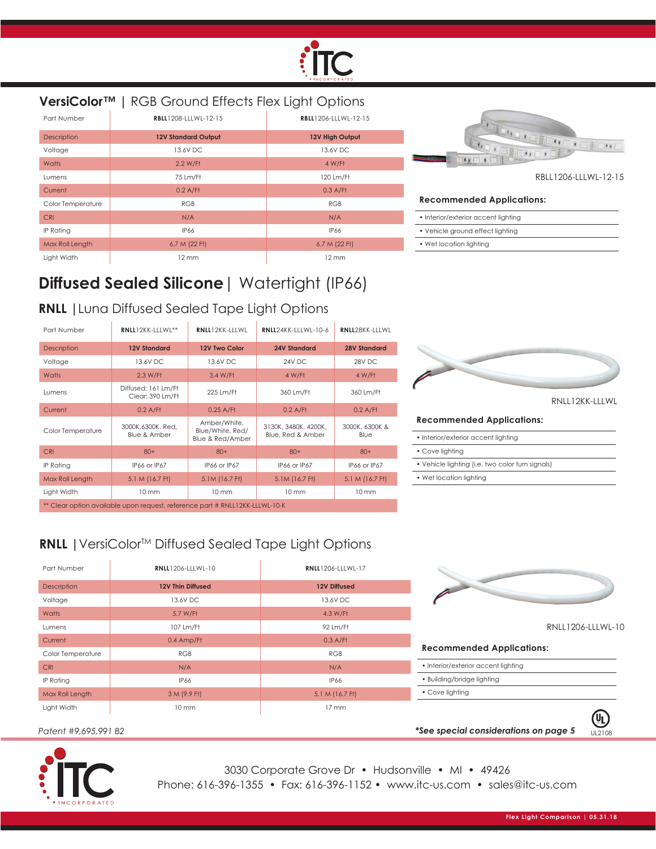

| VersiColor <sup>™</sup>   RGB Ground Effects Flex Light Options |                            |                      |                      |  |
|-----------------------------------------------------------------|----------------------------|----------------------|----------------------|--|
| Part Number                                                     | RBLL1208-LLLWL-12-15       | RBLL1206-LLLWL-12-15 |                      |  |
| <b>Description</b>                                              | <b>12V Standard Output</b> | 12V High Output      |                      |  |
| Voltage                                                         | 13.6V DC                   | 13.6V DC             |                      |  |
| Watts                                                           | 2.2 W/Ft                   | 4 W/Ff               |                      |  |
| Lumens                                                          | 75 Lm/Ft                   | 120 Lm/Ft            |                      |  |
| Current                                                         | $0.2$ A/Ff                 | $0.3$ A/Ff           |                      |  |
| Color Temperature                                               | <b>RGB</b>                 | <b>RGB</b>           | Re                   |  |
| <b>CRI</b>                                                      | N/A                        | N/A                  | $\bullet$ li         |  |
| IP Rating                                                       | <b>IP66</b>                | <b>IP66</b>          | $\ddot{\phantom{0}}$ |  |
| Max Roll Length                                                 | 6.7 M (22 Ft)              | 6.7 M (22 Ft)        | $\bullet$ $\vee$     |  |
| Light Width                                                     | $12 \text{ mm}$            | $12 \text{ mm}$      |                      |  |



RBLL1206-LLLWL-12-15

#### **Recommended Applications:**

- Interior/exterior accent lighting
- Vehicle ground effect lighting
- Wet location lighting

## **Diffused Sealed Silicone**| Watertight (IP66)

#### **RNLL |**Luna Diffused Sealed Tape Light Options

| Part Number                                                                  | RNLL12KK-LLLWL**                             | RNLL12KK-LLLWL                                       | RNLL24KK-LLLWL-10-6                       | RNLL28KK-LLLWL         |
|------------------------------------------------------------------------------|----------------------------------------------|------------------------------------------------------|-------------------------------------------|------------------------|
| <b>Description</b>                                                           | <b>12V Standard</b>                          | 12V Two Color                                        | <b>24V Standard</b>                       | <b>28V Standard</b>    |
| Voltage                                                                      | 13.6V DC                                     | 13.6V DC                                             | 24V DC                                    | 28V DC                 |
| Watts                                                                        | 2.3 W/Ft                                     | 3.4 W/Ff                                             | 4 W/Ft                                    | 4 W/Ft                 |
| <b>Lumens</b>                                                                | Diffused: 161 Lm/Ft<br>Clear: 390 Lm/Ft      | 225 Lm/Ft                                            | 360 Lm/Ff                                 | 360 Lm/Ft              |
| Current                                                                      | $0.2$ A/Ff                                   | $0.25$ A/Ff                                          | $0.2$ A/Ff                                | $0.2$ A/Ff             |
| Color Temperature                                                            | 3000K.6300K. Red.<br><b>Blue &amp; Amber</b> | Amber/White,<br>Blue/White, Red/<br>Blue & Red/Amber | 3130K, 3480K, 4200K,<br>Blue, Red & Amber | 3000K, 6300K &<br>Blue |
| <b>CRI</b>                                                                   | $80+$                                        | $80+$                                                | $80+$                                     | $80+$                  |
| IP Rating                                                                    | IP66 or IP67                                 | IP66 or IP67                                         | IP66 or IP67                              | IP66 or IP67           |
| Max Roll Length                                                              | 5.1 M (16.7 Ft)                              | 5.1M (16.7 Ft)                                       | 5.1M (16.7 Ft)                            | 5.1 M (16.7 Ft)        |
| Light Width                                                                  | $10 \text{ mm}$                              | $10 \text{ mm}$                                      | $10 \text{ mm}$                           | $10 \, \text{mm}$      |
| ** Clear option available upon request, reference part # RNLL12KK-LLLWL-10-K |                                              |                                                      |                                           |                        |



RNLL12KK-LLLWL

#### **Recommended Applications:**

| • Interior/exterior accent lighting              |  |
|--------------------------------------------------|--|
| • Cove lighting                                  |  |
| • Vehicle lighting (i.e. two color turn signals) |  |
| • Wet location lighting                          |  |
|                                                  |  |

**\*See special considerations on page 5** UL2108

#### **RNLL** | VersiColor™ Diffused Sealed Tape Light Options

| Part Number       | <b>RNLL1206-LLLWL-10</b> | <b>RNLL1206-LLLWL-17</b> |                                     |
|-------------------|--------------------------|--------------------------|-------------------------------------|
| Description       | <b>12V Thin Diffused</b> | <b>12V Diffused</b>      |                                     |
| Voltage           | 13.6V DC                 | 13.6V DC                 |                                     |
| Watts             | 5.7 W/Ff                 | 4.3 W/Ff                 |                                     |
| Lumens            | 107 Lm/Ft                | 92 Lm/Ft                 | RNLL1206-LLLWL-10                   |
| Current           | 0.4 Amp/Ff               | $0.3$ A/Ff               |                                     |
| Color Temperature | <b>RGB</b>               | RGB                      | <b>Recommended Applications:</b>    |
| <b>CRI</b>        | N/A                      | N/A                      | • Interior/exterior accent lighting |
| IP Rating         | IP66                     | <b>IP66</b>              | • Building/bridge lighting          |
| Max Roll Length   | 3 M (9.9 Ft)             | 5.1 M (16.7 Ft)          | • Cove lighting                     |
| Light Width       | $10 \text{ mm}$          | $17 \text{ mm}$          |                                     |
|                   |                          |                          |                                     |

*Patent #9,695,991 B2*